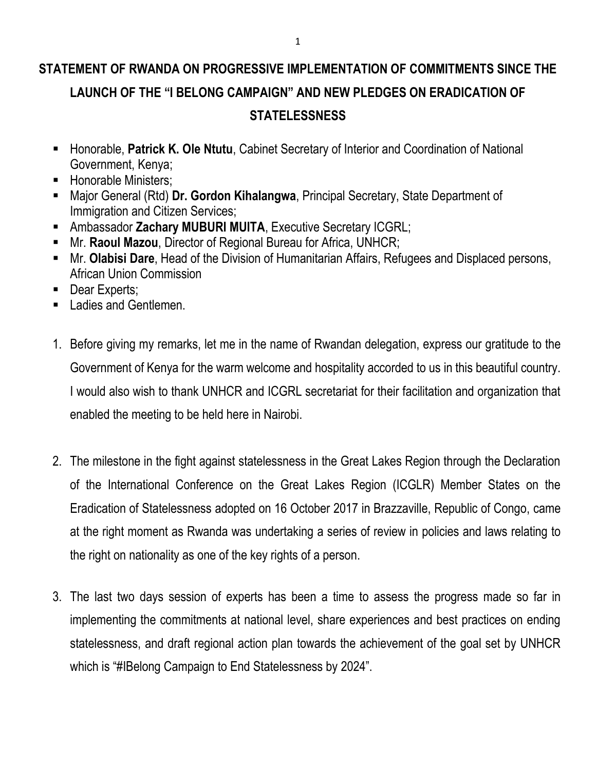## **STATEMENT OF RWANDA ON PROGRESSIVE IMPLEMENTATION OF COMMITMENTS SINCE THE LAUNCH OF THE "I BELONG CAMPAIGN" AND NEW PLEDGES ON ERADICATION OF STATELESSNESS**

- Honorable, **Patrick K. Ole Ntutu**, Cabinet Secretary of Interior and Coordination of National Government, Kenya;
- **Honorable Ministers;**
- Major General (Rtd) **Dr. Gordon Kihalangwa**, Principal Secretary, State Department of Immigration and Citizen Services;
- Ambassador **Zachary MUBURI MUITA**, Executive Secretary ICGRL;
- Mr. **Raoul Mazou**, Director of Regional Bureau for Africa, UNHCR;
- Mr. **Olabisi Dare**, Head of the Division of Humanitarian Affairs, Refugees and Displaced persons, African Union Commission
- Dear Experts;
- **Ladies and Gentlemen.**
- 1. Before giving my remarks, let me in the name of Rwandan delegation, express our gratitude to the Government of Kenya for the warm welcome and hospitality accorded to us in this beautiful country. I would also wish to thank UNHCR and ICGRL secretariat for their facilitation and organization that enabled the meeting to be held here in Nairobi.
- 2. The milestone in the fight against statelessness in the Great Lakes Region through the Declaration of the International Conference on the Great Lakes Region (ICGLR) Member States on the Eradication of Statelessness adopted on 16 October 2017 in Brazzaville, Republic of Congo, came at the right moment as Rwanda was undertaking a series of review in policies and laws relating to the right on nationality as one of the key rights of a person.
- 3. The last two days session of experts has been a time to assess the progress made so far in implementing the commitments at national level, share experiences and best practices on ending statelessness, and draft regional action plan towards the achievement of the goal set by UNHCR which is "#IBelong Campaign to End Statelessness by 2024".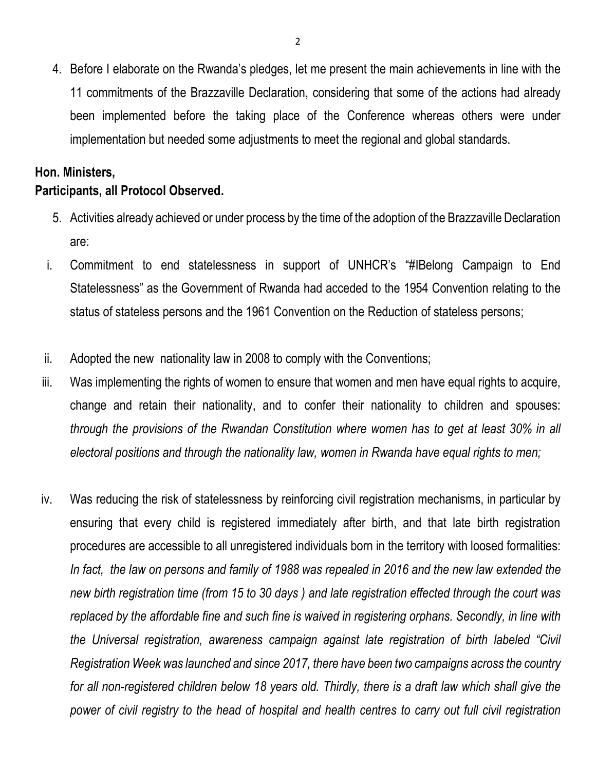4. Before I elaborate on the Rwanda's pledges, let me present the main achievements in line with the 11 commitments of the Brazzaville Declaration, considering that some of the actions had already been implemented before the taking place of the Conference whereas others were under implementation but needed some adjustments to meet the regional and global standards.

## **Hon. Ministers, Participants, all Protocol Observed.**

- 5. Activities already achieved or under process by the time of the adoption of the Brazzaville Declaration are:
- i. Commitment to end statelessness in support of UNHCR's "#IBelong Campaign to End Statelessness" as the Government of Rwanda had acceded to the 1954 Convention relating to the status of stateless persons and the 1961 Convention on the Reduction of stateless persons;
- ii. Adopted the new nationality law in 2008 to comply with the Conventions;
- iii. Was implementing the rights of women to ensure that women and men have equal rights to acquire, change and retain their nationality, and to confer their nationality to children and spouses: *through the provisions of the Rwandan Constitution where women has to get at least 30% in all electoral positions and through the nationality law, women in Rwanda have equal rights to men;*
- iv. Was reducing the risk of statelessness by reinforcing civil registration mechanisms, in particular by ensuring that every child is registered immediately after birth, and that late birth registration procedures are accessible to all unregistered individuals born in the territory with loosed formalities: *In fact, the law on persons and family of 1988 was repealed in 2016 and the new law extended the new birth registration time (from 15 to 30 days ) and late registration effected through the court was replaced by the affordable fine and such fine is waived in registering orphans. Secondly, in line with the Universal registration, awareness campaign against late registration of birth labeled "Civil Registration Week was launched and since 2017, there have been two campaigns across the country for all non-registered children below 18 years old. Thirdly, there is a draft law which shall give the power of civil registry to the head of hospital and health centres to carry out full civil registration*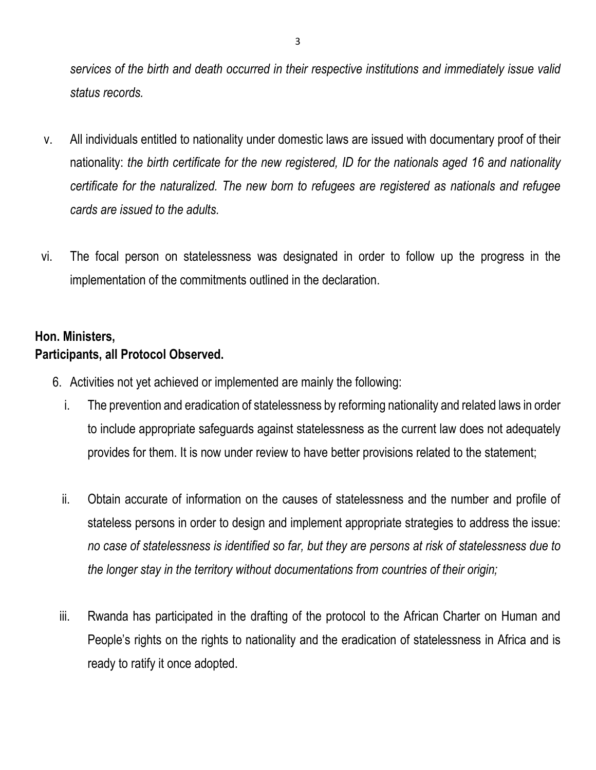*services of the birth and death occurred in their respective institutions and immediately issue valid status records.*

- v. All individuals entitled to nationality under domestic laws are issued with documentary proof of their nationality: *the birth certificate for the new registered, ID for the nationals aged 16 and nationality certificate for the naturalized. The new born to refugees are registered as nationals and refugee cards are issued to the adults.*
- vi. The focal person on statelessness was designated in order to follow up the progress in the implementation of the commitments outlined in the declaration.

## **Hon. Ministers, Participants, all Protocol Observed.**

- 6. Activities not yet achieved or implemented are mainly the following:
	- i. The prevention and eradication of statelessness by reforming nationality and related laws in order to include appropriate safeguards against statelessness as the current law does not adequately provides for them. It is now under review to have better provisions related to the statement;
	- ii. Obtain accurate of information on the causes of statelessness and the number and profile of stateless persons in order to design and implement appropriate strategies to address the issue: *no case of statelessness is identified so far, but they are persons at risk of statelessness due to the longer stay in the territory without documentations from countries of their origin;*
	- iii. Rwanda has participated in the drafting of the protocol to the African Charter on Human and People's rights on the rights to nationality and the eradication of statelessness in Africa and is ready to ratify it once adopted.